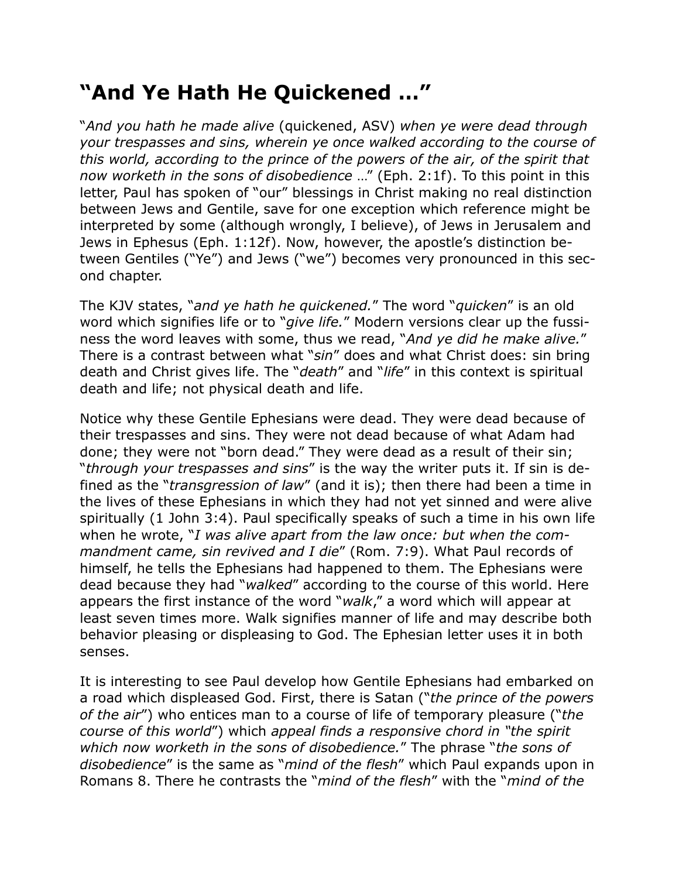## **"And Ye Hath He Quickened …"**

"*And you hath he made alive* (quickened, ASV) *when ye were dead through your trespasses and sins, wherein ye once walked according to the course of this world, according to the prince of the powers of the air, of the spirit that now worketh in the sons of disobedience* …" (Eph. 2:1f). To this point in this letter, Paul has spoken of "our" blessings in Christ making no real distinction between Jews and Gentile, save for one exception which reference might be interpreted by some (although wrongly, I believe), of Jews in Jerusalem and Jews in Ephesus (Eph. 1:12f). Now, however, the apostle's distinction between Gentiles ("Ye") and Jews ("we") becomes very pronounced in this second chapter.

The KJV states, "*and ye hath he quickened.*" The word "*quicken*" is an old word which signifies life or to "*give life.*" Modern versions clear up the fussiness the word leaves with some, thus we read, "*And ye did he make alive.*" There is a contrast between what "*sin*" does and what Christ does: sin bring death and Christ gives life. The "*death*" and "*life*" in this context is spiritual death and life; not physical death and life.

Notice why these Gentile Ephesians were dead. They were dead because of their trespasses and sins. They were not dead because of what Adam had done; they were not "born dead." They were dead as a result of their sin; "*through your trespasses and sins*" is the way the writer puts it. If sin is defined as the "*transgression of law*" (and it is); then there had been a time in the lives of these Ephesians in which they had not yet sinned and were alive spiritually (1 John 3:4). Paul specifically speaks of such a time in his own life when he wrote, "*I was alive apart from the law once: but when the commandment came, sin revived and I die*" (Rom. 7:9). What Paul records of himself, he tells the Ephesians had happened to them. The Ephesians were dead because they had "*walked*" according to the course of this world. Here appears the first instance of the word "*walk*," a word which will appear at least seven times more. Walk signifies manner of life and may describe both behavior pleasing or displeasing to God. The Ephesian letter uses it in both senses.

It is interesting to see Paul develop how Gentile Ephesians had embarked on a road which displeased God. First, there is Satan ("*the prince of the powers of the air*") who entices man to a course of life of temporary pleasure ("*the course of this world*") which *appeal finds a responsive chord in "the spirit which now worketh in the sons of disobedience.*" The phrase "*the sons of disobedience*" is the same as "*mind of the flesh*" which Paul expands upon in Romans 8. There he contrasts the "*mind of the flesh*" with the "*mind of the*